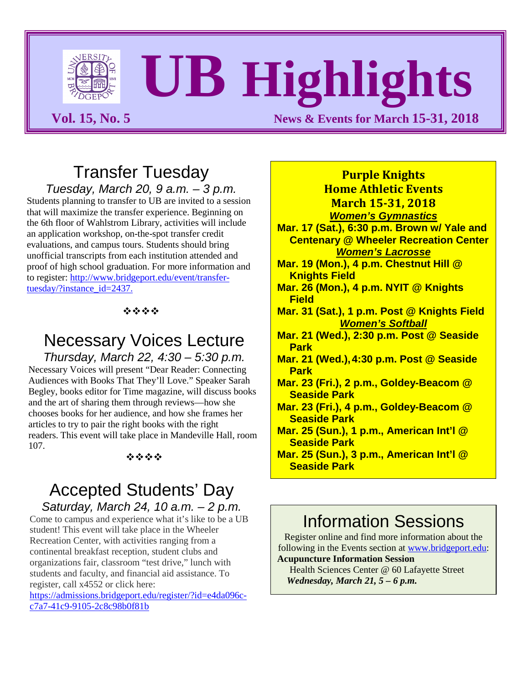

# **UB Highlights**

**Vol. 15, No. 5** News & Events for March 15-31, 2018

**Purple Knights**

#### Transfer Tuesday *Tuesday, March 20, 9 a.m. – 3 p.m.*

Students planning to transfer to UB are invited to a session that will maximize the transfer experience. Beginning on the 6th floor of Wahlstrom Library, activities will include an application workshop, on-the-spot transfer credit evaluations, and campus tours. Students should bring unofficial transcripts from each institution attended and proof of high school graduation. For more information and to register: [http://www.bridgeport.edu/event/transfer](http://www.bridgeport.edu/event/transfer-tuesday/?instance_id=2437)[tuesday/?instance\\_id=2437.](http://www.bridgeport.edu/event/transfer-tuesday/?instance_id=2437)

#### \*\*\*\*

# Necessary Voices Lecture

*Thursday, March 22, 4:30 – 5:30 p.m.* Necessary Voices will present "Dear Reader: Connecting Audiences with Books That They'll Love." Speaker Sarah Begley, books editor for Time magazine, will discuss books and the art of sharing them through reviews—how she chooses books for her audience, and how she frames her articles to try to pair the right books with the right readers. This event will take place in Mandeville Hall, room 107.

#### 经合金额

# Accepted Students' Day

*Saturday, March 24, 10 a.m. – 2 p.m.* Come to campus and experience what it's like to be a UB student! This event will take place in the Wheeler Recreation Center, with activities ranging from a continental breakfast reception, student clubs and organizations fair, classroom "test drive," lunch with students and faculty, and financial aid assistance. To register, call x4552 or click here:

[https://admissions.bridgeport.edu/register/?id=e4da096c](https://admissions.bridgeport.edu/register/?id=e4da096c-c7a7-41c9-9105-2c8c98b0f81b)[c7a7-41c9-9105-2c8c98b0f81b](https://admissions.bridgeport.edu/register/?id=e4da096c-c7a7-41c9-9105-2c8c98b0f81b)

**Home Athletic Events March 15-31, 2018** *Women's Gymnastics* **Mar. 17 (Sat.), 6:30 p.m. Brown w/ Yale and Centenary @ Wheeler Recreation Center** *Women's Lacrosse* **Mar. 19 (Mon.), 4 p.m. Chestnut Hill @ Knights Field Mar. 26 (Mon.), 4 p.m. NYIT @ Knights Field Mar. 31 (Sat.), 1 p.m. Post @ Knights Field** *Women's Softball* **Mar. 21 (Wed.), 2:30 p.m. Post @ Seaside Park Mar. 21 (Wed.),4:30 p.m. Post @ Seaside Park Mar. 23 (Fri.), 2 p.m., Goldey-Beacom @ Seaside Park Mar. 23 (Fri.), 4 p.m., Goldey-Beacom @ Seaside Park Mar. 25 (Sun.), 1 p.m., American Int'l @ Seaside Park Mar. 25 (Sun.), 3 p.m., American Int'l @ Seaside Park**

# Information Sessions

Register online and find more information about the following in the Events section at [www.bridgeport.edu:](http://www.bridgeport.edu/) **Acupuncture Information Session** 

Health Sciences Center @ 60 Lafayette Street  *Wednesday, March 21, 5 – 6 p.m.*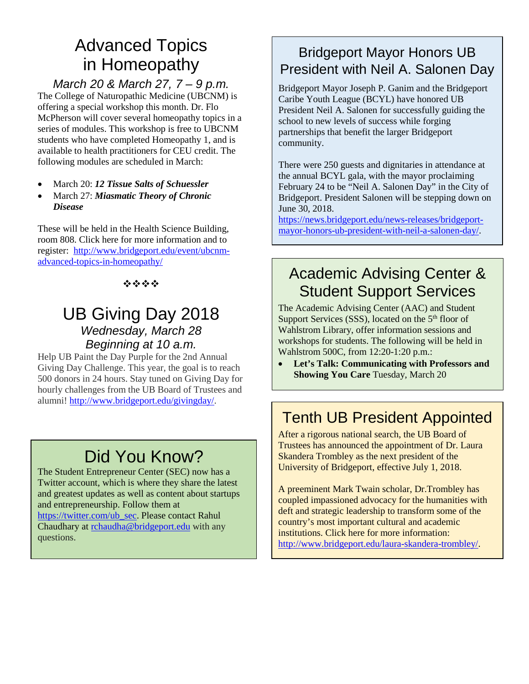# Advanced Topics in Homeopathy

*March 20 & March 27, 7 – 9 p.m.* The College of Naturopathic Medicine (UBCNM) is offering a special workshop this month. Dr. Flo McPherson will cover several homeopathy topics in a series of modules. This workshop is free to UBCNM students who have completed Homeopathy 1, and is available to health practitioners for CEU credit. The following modules are scheduled in March:

- March 20: *12 Tissue Salts of Schuessler*
- March 27: *Miasmatic Theory of Chronic Disease*

These will be held in the Health Science Building, room 808. Click here for more information and to register: [http://www.bridgeport.edu/event/ubcnm](http://www.bridgeport.edu/event/ubcnm-advanced-topics-in-homeopathy/)[advanced-topics-in-homeopathy/](http://www.bridgeport.edu/event/ubcnm-advanced-topics-in-homeopathy/)

#### 经合金额

#### UB Giving Day 2018 *Wednesday, March 28 Beginning at 10 a.m.*

Help UB Paint the Day Purple for the 2nd Annual Giving Day Challenge. This year, the goal is to reach 500 donors in 24 hours. Stay tuned on Giving Day for hourly challenges from the UB Board of Trustees and alumni! [http://www.bridgeport.edu/givingday/.](http://www.bridgeport.edu/givingday/)

# Did You Know?

The Student Entrepreneur Center (SEC) now has a Twitter account, which is where they share the latest and greatest updates as well as content about startups and entrepreneurship. Follow them at [https://twitter.com/ub\\_sec.](https://twitter.com/ub_sec) Please contact Rahul Chaudhary at [rchaudha@bridgeport.edu](mailto:rchaudha@bridgeport.edu) with any questions.

#### Bridgeport Mayor Honors UB President with Neil A. Salonen Day

Bridgeport Mayor Joseph P. Ganim and the Bridgeport Caribe Youth League (BCYL) have honored UB President Neil A. Salonen for successfully guiding the school to new levels of success while forging partnerships that benefit the larger Bridgeport community.

There were 250 guests and dignitaries in attendance at the annual BCYL gala, with the mayor proclaiming February 24 to be "Neil A. Salonen Day" in the City of Bridgeport. President Salonen will be stepping down on June 30, 2018.

[https://news.bridgeport.edu/news-releases/bridgeport](https://news.bridgeport.edu/news-releases/bridgeport-mayor-honors-ub-president-with-neil-a-salonen-day/)[mayor-honors-ub-president-with-neil-a-salonen-day/.](https://news.bridgeport.edu/news-releases/bridgeport-mayor-honors-ub-president-with-neil-a-salonen-day/)

### Academic Advising Center & Student Support Services

The Academic Advising Center (AAC) and Student Support Services (SSS), located on the 5<sup>th</sup> floor of Wahlstrom Library, offer information sessions and workshops for students. The following will be held in Wahlstrom 500C, from 12:20-1:20 p.m.:

• **Let's Talk: Communicating with Professors and Showing You Care** Tuesday, March 20

## Tenth UB President Appointed

After a rigorous national search, the UB Board of Trustees has announced the appointment of Dr. Laura Skandera Trombley as the next president of the University of Bridgeport, effective July 1, 2018.

A preeminent Mark Twain scholar, Dr.Trombley has coupled impassioned advocacy for the humanities with deft and strategic leadership to transform some of the country's most important cultural and academic institutions. Click here for more information: [http://www.bridgeport.edu/laura-skandera-trombley/.](http://www.bridgeport.edu/laura-skandera-trombley/)